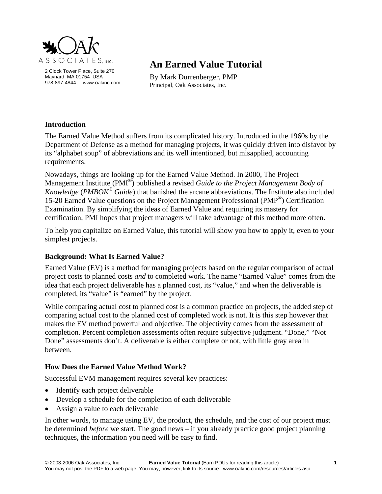

2 Clock Tower Place, Suite 270 Maynard, MA 01754 USA 978-897-4844 www.oakinc.com

# **An Earned Value Tutorial**

By Mark Durrenberger, PMP Principal, Oak Associates, Inc.

## **Introduction**

The Earned Value Method suffers from its complicated history. Introduced in the 1960s by the Department of Defense as a method for managing projects, it was quickly driven into disfavor by its "alphabet soup" of abbreviations and its well intentioned, but misapplied, accounting requirements.

Nowadays, things are looking up for the Earned Value Method. In 2000, The Project Management Institute (PMI®) published a revised *Guide to the Project Management Body of Knowledge* (*PMBOK® Guide*) that banished the arcane abbreviations. The Institute also included 15-20 Earned Value questions on the Project Management Professional (PMP<sup>®</sup>) Certification Examination. By simplifying the ideas of Earned Value and requiring its mastery for certification, PMI hopes that project managers will take advantage of this method more often.

To help you capitalize on Earned Value, this tutorial will show you how to apply it, even to your simplest projects.

## **Background: What Is Earned Value?**

Earned Value (EV) is a method for managing projects based on the regular comparison of actual project costs to planned costs *and* to completed work. The name "Earned Value" comes from the idea that each project deliverable has a planned cost, its "value," and when the deliverable is completed, its "value" is "earned" by the project.

While comparing actual cost to planned cost is a common practice on projects, the added step of comparing actual cost to the planned cost of completed work is not. It is this step however that makes the EV method powerful and objective. The objectivity comes from the assessment of completion. Percent completion assessments often require subjective judgment. "Done," "Not Done" assessments don't. A deliverable is either complete or not, with little gray area in between.

# **How Does the Earned Value Method Work?**

Successful EVM management requires several key practices:

- Identify each project deliverable
- Develop a schedule for the completion of each deliverable
- Assign a value to each deliverable

In other words, to manage using EV, the product, the schedule, and the cost of our project must be determined *before* we start. The good news – if you already practice good project planning techniques, the information you need will be easy to find.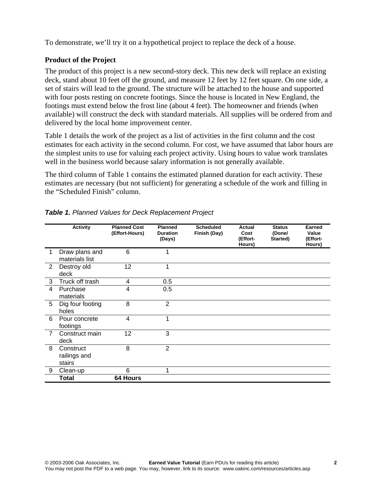To demonstrate, we'll try it on a hypothetical project to replace the deck of a house.

# **Product of the Project**

The product of this project is a new second-story deck. This new deck will replace an existing deck, stand about 10 feet off the ground, and measure 12 feet by 12 feet square. On one side, a set of stairs will lead to the ground. The structure will be attached to the house and supported with four posts resting on concrete footings. Since the house is located in New England, the footings must extend below the frost line (about 4 feet). The homeowner and friends (when available) will construct the deck with standard materials. All supplies will be ordered from and delivered by the local home improvement center.

Table 1 details the work of the project as a list of activities in the first column and the cost estimates for each activity in the second column. For cost, we have assumed that labor hours are the simplest units to use for valuing each project activity. Using hours to value work translates well in the business world because salary information is not generally available.

The third column of Table 1 contains the estimated planned duration for each activity. These estimates are necessary (but not sufficient) for generating a schedule of the work and filling in the "Scheduled Finish" column.

|   | <b>Activity</b>                     | <b>Planned Cost</b><br>(Effort-Hours) | <b>Planned</b><br><b>Duration</b><br>(Days) | <b>Scheduled</b><br>Finish (Day) | Actual<br>Cost<br>(Effort-<br>Hours) | <b>Status</b><br>(Done/<br>Started) | Earned<br>Value<br>(Effort-<br>Hours) |
|---|-------------------------------------|---------------------------------------|---------------------------------------------|----------------------------------|--------------------------------------|-------------------------------------|---------------------------------------|
|   | Draw plans and<br>materials list    | 6                                     |                                             |                                  |                                      |                                     |                                       |
| 2 | Destroy old<br>deck                 | 12                                    | 1                                           |                                  |                                      |                                     |                                       |
| 3 | Truck off trash                     | 4                                     | 0.5                                         |                                  |                                      |                                     |                                       |
| 4 | Purchase<br>materials               | 4                                     | 0.5                                         |                                  |                                      |                                     |                                       |
| 5 | Dig four footing<br>holes           | 8                                     | $\overline{2}$                              |                                  |                                      |                                     |                                       |
| 6 | Pour concrete<br>footings           | 4                                     | 1                                           |                                  |                                      |                                     |                                       |
|   | Construct main<br>deck              | 12                                    | 3                                           |                                  |                                      |                                     |                                       |
| 8 | Construct<br>railings and<br>stairs | 8                                     | $\overline{2}$                              |                                  |                                      |                                     |                                       |
| 9 | Clean-up                            | 6                                     | 1                                           |                                  |                                      |                                     |                                       |
|   | Total                               | 64 Hours                              |                                             |                                  |                                      |                                     |                                       |

*Table 1. Planned Values for Deck Replacement Project*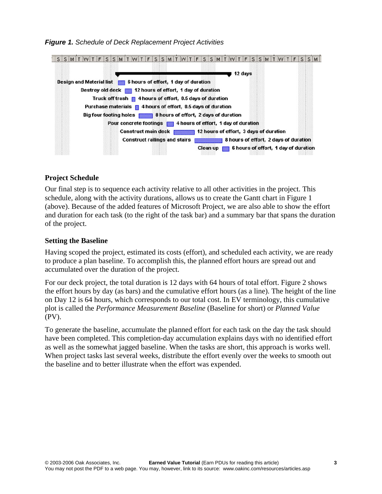



## **Project Schedule**

Our final step is to sequence each activity relative to all other activities in the project. This schedule, along with the activity durations, allows us to create the Gantt chart in Figure 1 (above). Because of the added features of Microsoft Project, we are also able to show the effort and duration for each task (to the right of the task bar) and a summary bar that spans the duration of the project.

### **Setting the Baseline**

Having scoped the project, estimated its costs (effort), and scheduled each activity, we are ready to produce a plan baseline. To accomplish this, the planned effort hours are spread out and accumulated over the duration of the project.

For our deck project, the total duration is 12 days with 64 hours of total effort. Figure 2 shows the effort hours by day (as bars) and the cumulative effort hours (as a line). The height of the line on Day 12 is 64 hours, which corresponds to our total cost. In EV terminology, this cumulative plot is called the *Performance Measurement Baseline* (Baseline for short) or *Planned Value*  (PV).

To generate the baseline, accumulate the planned effort for each task on the day the task should have been completed. This completion-day accumulation explains days with no identified effort as well as the somewhat jagged baseline. When the tasks are short, this approach is works well. When project tasks last several weeks, distribute the effort evenly over the weeks to smooth out the baseline and to better illustrate when the effort was expended.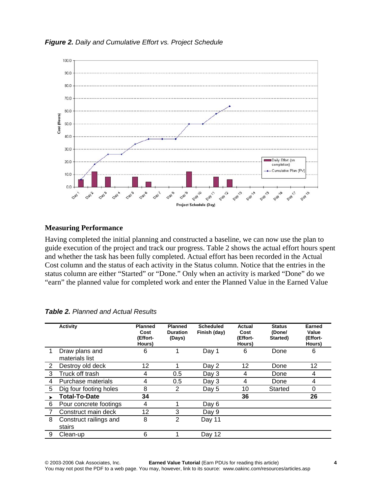

## *Figure 2. Daily and Cumulative Effort vs. Project Schedule*

## **Measuring Performance**

Having completed the initial planning and constructed a baseline, we can now use the plan to guide execution of the project and track our progress. Table 2 shows the actual effort hours spent and whether the task has been fully completed. Actual effort has been recorded in the Actual Cost column and the status of each activity in the Status column. Notice that the entries in the status column are either "Started" or "Done." Only when an activity is marked "Done" do we "earn" the planned value for completed work and enter the Planned Value in the Earned Value

|   | <b>Activity</b>                  | <b>Planned</b><br>Cost<br>(Effort-<br>Hours) | <b>Planned</b><br><b>Duration</b><br>(Days) | <b>Scheduled</b><br>Finish (day) | Actual<br>Cost<br>(Effort-<br>Hours) | <b>Status</b><br>(Done/<br>Started) | Earned<br>Value<br>(Effort-<br>Hours) |
|---|----------------------------------|----------------------------------------------|---------------------------------------------|----------------------------------|--------------------------------------|-------------------------------------|---------------------------------------|
|   | Draw plans and<br>materials list | 6                                            |                                             | Day 1                            | 6                                    | Done                                | 6                                     |
| 2 | Destroy old deck                 | 12                                           | 1                                           | Day 2                            | 12                                   | Done                                | 12                                    |
| 3 | Truck off trash                  | 4                                            | 0.5                                         | Day 3                            | 4                                    | Done                                | 4                                     |
| 4 | Purchase materials               | 4                                            | 0.5                                         | Dav 3                            | 4                                    | Done                                | 4                                     |
| 5 | Dig four footing holes           | 8                                            | 2                                           | Day 5                            | 10                                   | Started                             | 0                                     |
|   | <b>Total-To-Date</b>             | 34                                           |                                             |                                  | 36                                   |                                     | 26                                    |
| 6 | Pour concrete footings           | 4                                            |                                             | Day 6                            |                                      |                                     |                                       |
|   | Construct main deck              | 12                                           | 3                                           | Day 9                            |                                      |                                     |                                       |
| 8 | Construct railings and<br>stairs | 8                                            | $\overline{2}$                              | Day 11                           |                                      |                                     |                                       |
| 9 | Clean-up                         | 6                                            |                                             | Day 12                           |                                      |                                     |                                       |

*Table 2. Planned and Actual Results*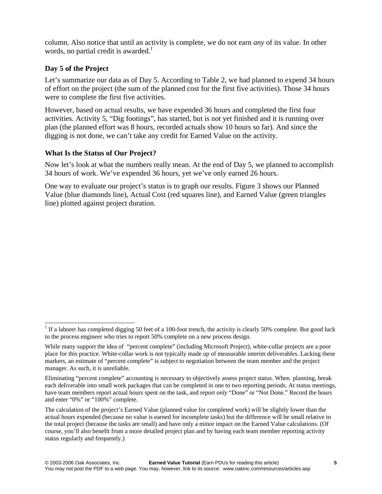column. Also notice that until an activity is complete, we do not earn *any* of its value. In other words, no partial credit is awarded.<sup>1</sup>

# **Day 5 of the Project**

 $\overline{\phantom{a}}$ 

Let's summarize our data as of Day 5. According to Table 2, we had planned to expend 34 hours of effort on the project (the sum of the planned cost for the first five activities). Those 34 hours were to complete the first five activities.

However, based on actual results, we have expended 36 hours and completed the first four activities. Activity 5, "Dig footings", has started, but is not yet finished and it is running over plan (the planned effort was 8 hours, recorded actuals show 10 hours so far). And since the digging is not done, we can't take any credit for Earned Value on the activity.

## **What Is the Status of Our Project?**

Now let's look at what the numbers really mean. At the end of Day 5, we planned to accomplish 34 hours of work. We've expended 36 hours, yet we've only earned 26 hours.

One way to evaluate our project's status is to graph our results. Figure 3 shows our Planned Value (blue diamonds line), Actual Cost (red squares line), and Earned Value (green triangles line) plotted against project duration.

<sup>&</sup>lt;sup>1</sup> If a laborer has completed digging 50 feet of a 100-foot trench, the activity is clearly 50% complete. But good luck to the process engineer who tries to report 50% complete on a new process design.

While many support the idea of "percent complete" (including Microsoft Project), white-collar projects are a poor place for this practice. White-collar work is not typically made up of measurable interim deliverables. Lacking these markers, an estimate of "percent complete" is subject to negotiation between the team member and the project manager. As such, it is unreliable.

Eliminating "percent complete" accounting is necessary to objectively assess project status. When planning, break each deliverable into small work packages that can be completed in one to two reporting periods. At status meetings, have team members report actual hours spent on the task, and report *only* "Done" or "Not Done." Record the hours and enter "0%" or "100%" complete.

The calculation of the project's Earned Value (planned value for completed work) will be slightly lower than the actual hours expended (because no value is earned for incomplete tasks) but the difference will be small relative to the total project (because the tasks are small) and have only a minor impact on the Earned Value calculations. (Of course, you'll also benefit from a more detailed project plan and by having each team member reporting activity status regularly and frequently.)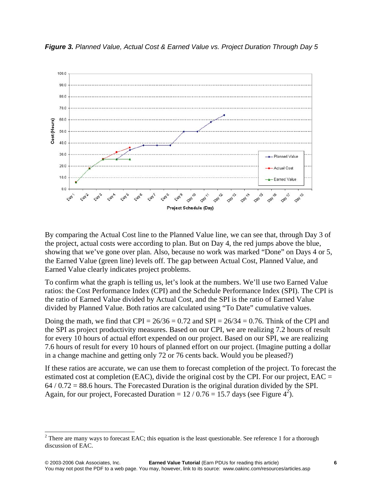

*Figure 3. Planned Value, Actual Cost & Earned Value vs. Project Duration Through Day 5*

By comparing the Actual Cost line to the Planned Value line, we can see that, through Day 3 of the project, actual costs were according to plan. But on Day 4, the red jumps above the blue, showing that we've gone over plan. Also, because no work was marked "Done" on Days 4 or 5, the Earned Value (green line) levels off. The gap between Actual Cost, Planned Value, and Earned Value clearly indicates project problems.

To confirm what the graph is telling us, let's look at the numbers. We'll use two Earned Value ratios: the Cost Performance Index (CPI) and the Schedule Performance Index (SPI). The CPI is the ratio of Earned Value divided by Actual Cost, and the SPI is the ratio of Earned Value divided by Planned Value. Both ratios are calculated using "To Date" cumulative values.

Doing the math, we find that CPI =  $26/36 = 0.72$  and SPI =  $26/34 = 0.76$ . Think of the CPI and the SPI as project productivity measures. Based on our CPI, we are realizing 7.2 hours of result for every 10 hours of actual effort expended on our project. Based on our SPI, we are realizing 7.6 hours of result for every 10 hours of planned effort on our project. (Imagine putting a dollar in a change machine and getting only 72 or 76 cents back. Would you be pleased?)

If these ratios are accurate, we can use them to forecast completion of the project. To forecast the estimated cost at completion (EAC), divide the original cost by the CPI. For our project, EAC =  $64 / 0.72 = 88.6$  hours. The Forecasted Duration is the original duration divided by the SPI. Again, for our project, Forecasted Duration =  $12/0.76 = 15.7$  days (see Figure 4<sup>2</sup>).

 $\overline{\phantom{a}}$ 

<sup>&</sup>lt;sup>2</sup> There are many ways to forecast EAC; this equation is the least questionable. See reference 1 for a thorough discussion of EAC.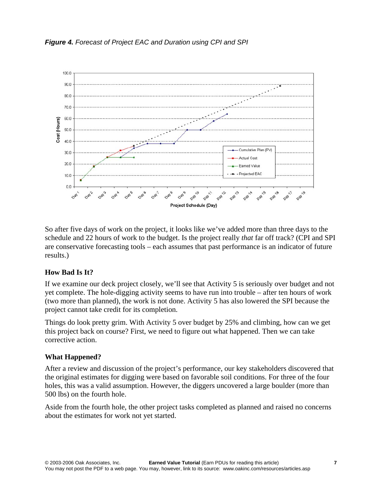



So after five days of work on the project, it looks like we've added more than three days to the schedule and 22 hours of work to the budget. Is the project really *that* far off track? (CPI and SPI are conservative forecasting tools – each assumes that past performance is an indicator of future results.)

### **How Bad Is It?**

If we examine our deck project closely, we'll see that Activity 5 is seriously over budget and not yet complete. The hole-digging activity seems to have run into trouble – after ten hours of work (two more than planned), the work is not done. Activity 5 has also lowered the SPI because the project cannot take credit for its completion.

Things do look pretty grim. With Activity 5 over budget by 25% and climbing, how can we get this project back on course? First, we need to figure out what happened. Then we can take corrective action.

### **What Happened?**

After a review and discussion of the project's performance, our key stakeholders discovered that the original estimates for digging were based on favorable soil conditions. For three of the four holes, this was a valid assumption. However, the diggers uncovered a large boulder (more than 500 lbs) on the fourth hole.

Aside from the fourth hole, the other project tasks completed as planned and raised no concerns about the estimates for work not yet started.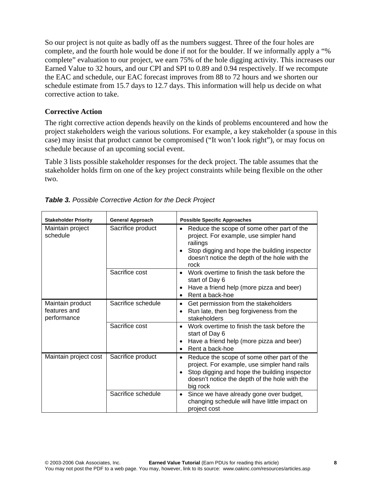So our project is not quite as badly off as the numbers suggest. Three of the four holes are complete, and the fourth hole would be done if not for the boulder. If we informally apply a "% complete" evaluation to our project, we earn 75% of the hole digging activity. This increases our Earned Value to 32 hours, and our CPI and SPI to 0.89 and 0.94 respectively. If we recompute the EAC and schedule, our EAC forecast improves from 88 to 72 hours and we shorten our schedule estimate from 15.7 days to 12.7 days. This information will help us decide on what corrective action to take.

## **Corrective Action**

The right corrective action depends heavily on the kinds of problems encountered and how the project stakeholders weigh the various solutions. For example, a key stakeholder (a spouse in this case) may insist that product cannot be compromised ("It won't look right"), or may focus on schedule because of an upcoming social event.

Table 3 lists possible stakeholder responses for the deck project. The table assumes that the stakeholder holds firm on one of the key project constraints while being flexible on the other two.

| <b>Stakeholder Priority</b>                     | <b>General Approach</b> | <b>Possible Specific Approaches</b>                                                                                                                                                                                                 |
|-------------------------------------------------|-------------------------|-------------------------------------------------------------------------------------------------------------------------------------------------------------------------------------------------------------------------------------|
| Maintain project<br>schedule                    | Sacrifice product       | Reduce the scope of some other part of the<br>$\bullet$<br>project. For example, use simpler hand<br>railings<br>Stop digging and hope the building inspector<br>$\bullet$<br>doesn't notice the depth of the hole with the<br>rock |
|                                                 | Sacrifice cost          | Work overtime to finish the task before the<br>$\bullet$<br>start of Day 6<br>Have a friend help (more pizza and beer)<br>$\bullet$<br>Rent a back-hoe                                                                              |
| Maintain product<br>features and<br>performance | Sacrifice schedule      | Get permission from the stakeholders<br>$\bullet$<br>Run late, then beg forgiveness from the<br>$\bullet$<br>stakeholders                                                                                                           |
|                                                 | Sacrifice cost          | Work overtime to finish the task before the<br>$\bullet$<br>start of Day 6<br>Have a friend help (more pizza and beer)<br>$\bullet$<br>Rent a back-hoe<br>$\bullet$                                                                 |
| Maintain project cost                           | Sacrifice product       | Reduce the scope of some other part of the<br>$\bullet$<br>project. For example, use simpler hand rails<br>Stop digging and hope the building inspector<br>$\bullet$<br>doesn't notice the depth of the hole with the<br>big rock   |
|                                                 | Sacrifice schedule      | Since we have already gone over budget,<br>$\bullet$<br>changing schedule will have little impact on<br>project cost                                                                                                                |

| Table 3. Possible Corrective Action for the Deck Project |
|----------------------------------------------------------|
|----------------------------------------------------------|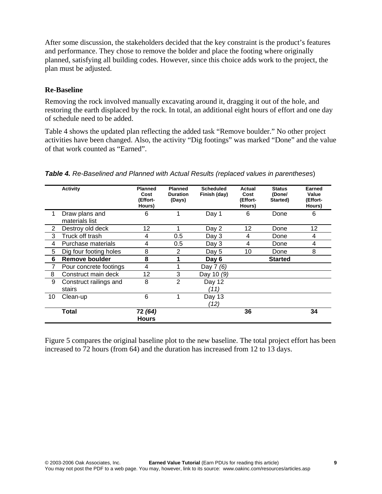After some discussion, the stakeholders decided that the key constraint is the product's features and performance. They chose to remove the bolder and place the footing where originally planned, satisfying all building codes. However, since this choice adds work to the project, the plan must be adjusted.

### **Re-Baseline**

Removing the rock involved manually excavating around it, dragging it out of the hole, and restoring the earth displaced by the rock. In total, an additional eight hours of effort and one day of schedule need to be added.

Table 4 shows the updated plan reflecting the added task "Remove boulder." No other project activities have been changed. Also, the activity "Dig footings" was marked "Done" and the value of that work counted as "Earned".

|    | <b>Activity</b>        | <b>Planned</b><br>Cost<br>(Effort-<br>Hours) | <b>Planned</b><br><b>Duration</b><br>(Days) | <b>Scheduled</b><br>Finish (day) | Actual<br>Cost<br>(Effort-<br>Hours) | <b>Status</b><br>(Done/<br>Started) | Earned<br>Value<br>(Effort-<br>Hours) |
|----|------------------------|----------------------------------------------|---------------------------------------------|----------------------------------|--------------------------------------|-------------------------------------|---------------------------------------|
|    | Draw plans and         | 6                                            |                                             | Day 1                            | 6                                    | Done                                | 6                                     |
|    | materials list         |                                              |                                             |                                  |                                      |                                     |                                       |
| 2  | Destroy old deck       | 12                                           |                                             | Day 2                            | 12                                   | Done                                | 12                                    |
| 3  | Truck off trash        | 4                                            | 0.5                                         | Day 3                            | 4                                    | Done                                | 4                                     |
| 4  | Purchase materials     | 4                                            | 0.5                                         | Day 3                            | 4                                    | Done                                | 4                                     |
| 5  | Dig four footing holes | 8                                            | 2                                           | Day 5                            | 10                                   | Done                                | 8                                     |
| 6  | Remove boulder         | 8                                            |                                             | Day 6                            |                                      | <b>Started</b>                      |                                       |
|    | Pour concrete footings | 4                                            |                                             | Day 7 (6)                        |                                      |                                     |                                       |
| 8  | Construct main deck    | 12                                           | 3                                           | Day 10 (9)                       |                                      |                                     |                                       |
| 9  | Construct railings and | 8                                            | 2                                           | Day 12                           |                                      |                                     |                                       |
|    | stairs                 |                                              |                                             | (11)                             |                                      |                                     |                                       |
| 10 | Clean-up               | 6                                            |                                             | Day 13                           |                                      |                                     |                                       |
|    |                        |                                              |                                             | (12)                             |                                      |                                     |                                       |
|    | Total                  | 72 (64)<br><b>Hours</b>                      |                                             |                                  | 36                                   |                                     | 34                                    |

*Table 4. Re-Baselined and Planned with Actual Results (replaced values in parentheses*)

Figure 5 compares the original baseline plot to the new baseline. The total project effort has been increased to 72 hours (from 64) and the duration has increased from 12 to 13 days.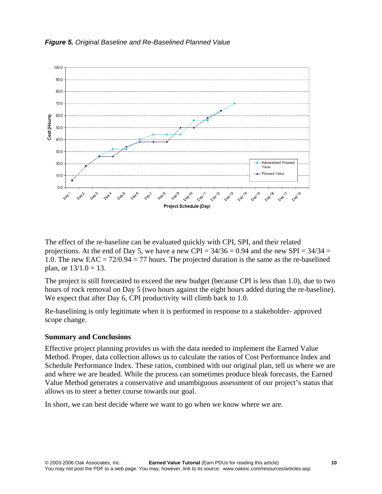



The effect of the re-baseline can be evaluated quickly with CPI, SPI, and their related projections. At the end of Day 5, we have a new CPI =  $34/36 = 0.94$  and the new SPI =  $34/34 =$ 1.0. The new  $EAC = 72/0.94 = 77$  hours. The projected duration is the same as the re-baselined plan, or  $13/1.0 = 13$ .

The project is still forecasted to exceed the new budget (because CPI is less than 1.0), due to two hours of rock removal on Day 5 (two hours against the eight hours added during the re-baseline). We expect that after Day 6, CPI productivity will climb back to 1.0.

Re-baselining is only legitimate when it is performed in response to a stakeholder- approved scope change.

#### **Summary and Conclusions**

Effective project planning provides us with the data needed to implement the Earned Value Method. Proper, data collection allows us to calculate the ratios of Cost Performance Index and Schedule Performance Index. These ratios, combined with our original plan, tell us where we are and where we are headed. While the process can sometimes produce bleak forecasts, the Earned Value Method generates a conservative and unambiguous assessment of our project's status that allows us to steer a better course towards our goal.

In short, we can best decide where we want to go when we know where we are.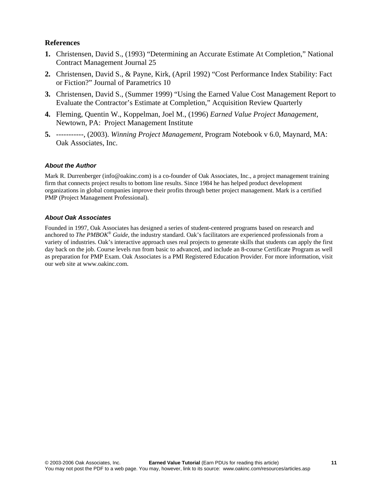#### **References**

- **1.** Christensen, David S., (1993) "Determining an Accurate Estimate At Completion," National Contract Management Journal 25
- **2.** Christensen, David S., & Payne, Kirk, (April 1992) "Cost Performance Index Stability: Fact or Fiction?" Journal of Parametrics 10
- **3.** Christensen, David S., (Summer 1999) "Using the Earned Value Cost Management Report to Evaluate the Contractor's Estimate at Completion," Acquisition Review Quarterly
- **4.** Fleming, Quentin W., Koppelman, Joel M., (1996) *Earned Value Project Management*, Newtown, PA: Project Management Institute
- **5.** -----------, (2003). *Winning Project Management*, Program Notebook v 6.0, Maynard, MA: Oak Associates, Inc.

#### *About the Author*

Mark R. Durrenberger (info@oakinc.com) is a co-founder of Oak Associates, Inc., a project management training firm that connects project results to bottom line results. Since 1984 he has helped product development organizations in global companies improve their profits through better project management. Mark is a certified PMP (Project Management Professional).

#### *About Oak Associates*

Founded in 1997, Oak Associates has designed a series of student-centered programs based on research and anchored to *The PMBOK® Guide*, the industry standard. Oak's facilitators are experienced professionals from a variety of industries. Oak's interactive approach uses real projects to generate skills that students can apply the first day back on the job. Course levels run from basic to advanced, and include an 8-course Certificate Program as well as preparation for PMP Exam. Oak Associates is a PMI Registered Education Provider. For more information, visit our web site at www.oakinc.com.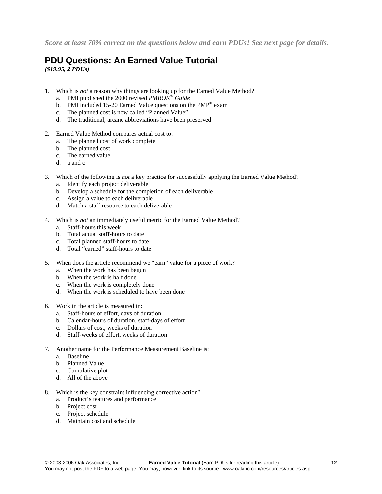*Score at least 70% correct on the questions below and earn PDUs! See next page for details.* 

# **PDU Questions: An Earned Value Tutorial**

*(\$19.95, 2 PDUs)* 

- 1. Which is *not* a reason why things are looking up for the Earned Value Method?
	- a. PMI published the 2000 revised *PMBOK® Guide*
	- b. PMI included 15-20 Earned Value questions on the PMP<sup>®</sup> exam
	- c. The planned cost is now called "Planned Value"
	- d. The traditional, arcane abbreviations have been preserved
- 2. Earned Value Method compares actual cost to:
	- a. The planned cost of work complete
	- b. The planned cost
	- c. The earned value
	- d. a and c
- 3. Which of the following is *not* a key practice for successfully applying the Earned Value Method?
	- a. Identify each project deliverable
	- b. Develop a schedule for the completion of each deliverable
	- c. Assign a value to each deliverable
	- d. Match a staff resource to each deliverable
- 4. Which is *not* an immediately useful metric for the Earned Value Method?
	- a. Staff-hours this week
	- b. Total actual staff-hours to date
	- c. Total planned staff-hours to date
	- d. Total "earned" staff-hours to date
- 5. When does the article recommend we "earn" value for a piece of work?
	- a. When the work has been begun
	- b. When the work is half done
	- c. When the work is completely done
	- d. When the work is scheduled to have been done
- 6. Work in the article is measured in:
	- a. Staff-hours of effort, days of duration
	- b. Calendar-hours of duration, staff-days of effort
	- c. Dollars of cost, weeks of duration
	- d. Staff-weeks of effort, weeks of duration
- 7. Another name for the Performance Measurement Baseline is:
	- a. Baseline
	- b. Planned Value
	- c. Cumulative plot
	- d. All of the above
- 8. Which is the key constraint influencing corrective action?
	- a. Product's features and performance
	- b. Project cost
	- c. Project schedule
	- d. Maintain cost and schedule